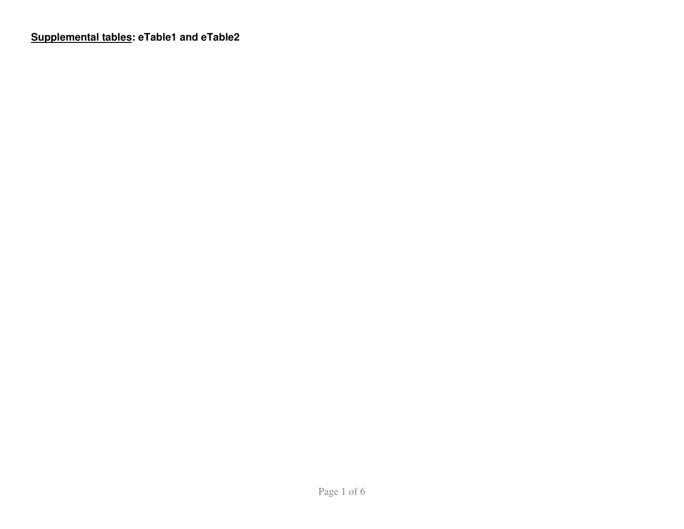**Supplemental tables: eTable1 and eTable2**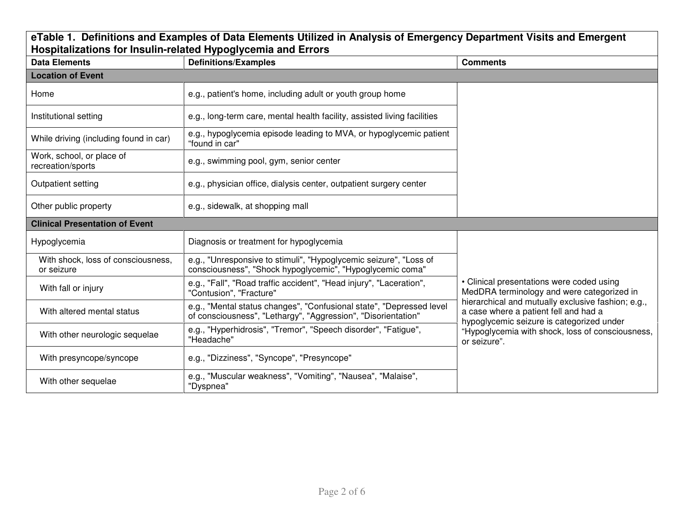## **eTable 1. Definitions and Examples of Data Elements Utilized in Analysis of Emergency Department Visits and Emergent Hospitalizations for Insulin-related Hypoglycemia and Errors**

| <b>Data Elements</b>                             | <b>Definitions/Examples</b>                                                                                                           | <b>Comments</b>                                                                                                                                                                                              |  |  |  |
|--------------------------------------------------|---------------------------------------------------------------------------------------------------------------------------------------|--------------------------------------------------------------------------------------------------------------------------------------------------------------------------------------------------------------|--|--|--|
| <b>Location of Event</b>                         |                                                                                                                                       |                                                                                                                                                                                                              |  |  |  |
| Home                                             | e.g., patient's home, including adult or youth group home                                                                             |                                                                                                                                                                                                              |  |  |  |
| Institutional setting                            | e.g., long-term care, mental health facility, assisted living facilities                                                              |                                                                                                                                                                                                              |  |  |  |
| While driving (including found in car)           | e.g., hypoglycemia episode leading to MVA, or hypoglycemic patient<br>"found in car"                                                  |                                                                                                                                                                                                              |  |  |  |
| Work, school, or place of<br>recreation/sports   | e.g., swimming pool, gym, senior center                                                                                               |                                                                                                                                                                                                              |  |  |  |
| Outpatient setting                               | e.g., physician office, dialysis center, outpatient surgery center                                                                    |                                                                                                                                                                                                              |  |  |  |
| Other public property                            | e.g., sidewalk, at shopping mall                                                                                                      |                                                                                                                                                                                                              |  |  |  |
| <b>Clinical Presentation of Event</b>            |                                                                                                                                       |                                                                                                                                                                                                              |  |  |  |
| Hypoglycemia                                     | Diagnosis or treatment for hypoglycemia                                                                                               |                                                                                                                                                                                                              |  |  |  |
| With shock, loss of consciousness,<br>or seizure | e.g., "Unresponsive to stimuli", "Hypoglycemic seizure", "Loss of<br>consciousness", "Shock hypoglycemic", "Hypoglycemic coma"        |                                                                                                                                                                                                              |  |  |  |
| With fall or injury                              | e.g., "Fall", "Road traffic accident", "Head injury", "Laceration",<br>"Contusion", "Fracture"                                        | • Clinical presentations were coded using<br>MedDRA terminology and were categorized in                                                                                                                      |  |  |  |
| With altered mental status                       | e.g., "Mental status changes", "Confusional state", "Depressed level<br>of consciousness", "Lethargy", "Aggression", "Disorientation" | hierarchical and mutually exclusive fashion; e.g.,<br>a case where a patient fell and had a<br>hypoglycemic seizure is categorized under<br>"Hypoglycemia with shock, loss of consciousness,<br>or seizure". |  |  |  |
| With other neurologic sequelae                   | e.g., "Hyperhidrosis", "Tremor", "Speech disorder", "Fatigue",<br>"Headache"                                                          |                                                                                                                                                                                                              |  |  |  |
| With presyncope/syncope                          | e.g., "Dizziness", "Syncope", "Presyncope"                                                                                            |                                                                                                                                                                                                              |  |  |  |
| With other sequelae                              | e.g., "Muscular weakness", "Vomiting", "Nausea", "Malaise",<br>"Dyspnea"                                                              |                                                                                                                                                                                                              |  |  |  |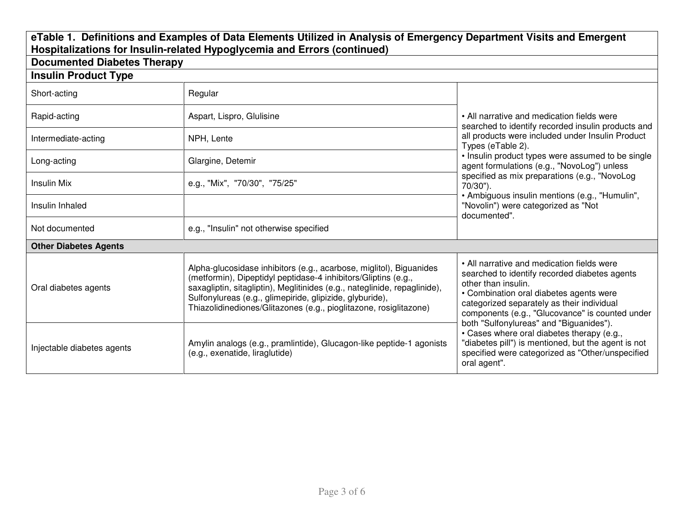## eTable 1. Definitions and Examples of Data Elements Utilized in Analysis of Emergency Department Visits and Emergent<br>Hospitalizations for Insulin-related Hypoglycemia and Errors (continued)<br>Documented Diabetes Therapy

| Documented Diabetes Therapy  |                                                                                                                                                                                                                                                                                                                                                     |                                                                                                                                                                                                                                                                |  |  |
|------------------------------|-----------------------------------------------------------------------------------------------------------------------------------------------------------------------------------------------------------------------------------------------------------------------------------------------------------------------------------------------------|----------------------------------------------------------------------------------------------------------------------------------------------------------------------------------------------------------------------------------------------------------------|--|--|
| <b>Insulin Product Type</b>  |                                                                                                                                                                                                                                                                                                                                                     |                                                                                                                                                                                                                                                                |  |  |
| Short-acting                 | Regular                                                                                                                                                                                                                                                                                                                                             |                                                                                                                                                                                                                                                                |  |  |
| Rapid-acting                 | Aspart, Lispro, Glulisine                                                                                                                                                                                                                                                                                                                           | • All narrative and medication fields were<br>searched to identify recorded insulin products and                                                                                                                                                               |  |  |
| Intermediate-acting          | NPH, Lente                                                                                                                                                                                                                                                                                                                                          | all products were included under Insulin Product<br>Types (eTable 2).<br>• Insulin product types were assumed to be single<br>agent formulations (e.g., "NovoLog") unless<br>specified as mix preparations (e.g., "NovoLog<br>70/30").                         |  |  |
| Long-acting                  | Glargine, Detemir                                                                                                                                                                                                                                                                                                                                   |                                                                                                                                                                                                                                                                |  |  |
| Insulin Mix                  | e.g., "Mix", "70/30", "75/25"                                                                                                                                                                                                                                                                                                                       |                                                                                                                                                                                                                                                                |  |  |
| Insulin Inhaled              |                                                                                                                                                                                                                                                                                                                                                     | • Ambiguous insulin mentions (e.g., "Humulin",<br>"Novolin") were categorized as "Not<br>documented".                                                                                                                                                          |  |  |
| Not documented               | e.g., "Insulin" not otherwise specified                                                                                                                                                                                                                                                                                                             |                                                                                                                                                                                                                                                                |  |  |
| <b>Other Diabetes Agents</b> |                                                                                                                                                                                                                                                                                                                                                     |                                                                                                                                                                                                                                                                |  |  |
| Oral diabetes agents         | Alpha-glucosidase inhibitors (e.g., acarbose, miglitol), Biguanides<br>(metformin), Dipeptidyl peptidase-4 inhibitors/Gliptins (e.g.,<br>saxagliptin, sitagliptin), Meglitinides (e.g., nateglinide, repaglinide),<br>Sulfonylureas (e.g., glimepiride, glipizide, glyburide),<br>Thiazolidinediones/Glitazones (e.g., pioglitazone, rosiglitazone) | • All narrative and medication fields were<br>searched to identify recorded diabetes agents<br>other than insulin.<br>• Combination oral diabetes agents were<br>categorized separately as their individual<br>components (e.g., "Glucovance" is counted under |  |  |
| Injectable diabetes agents   | Amylin analogs (e.g., pramlintide), Glucagon-like peptide-1 agonists<br>(e.g., exenatide, liraglutide)                                                                                                                                                                                                                                              | both "Sulfonylureas" and "Biguanides").<br>• Cases where oral diabetes therapy (e.g.,<br>"diabetes pill") is mentioned, but the agent is not<br>specified were categorized as "Other/unspecified<br>oral agent".                                               |  |  |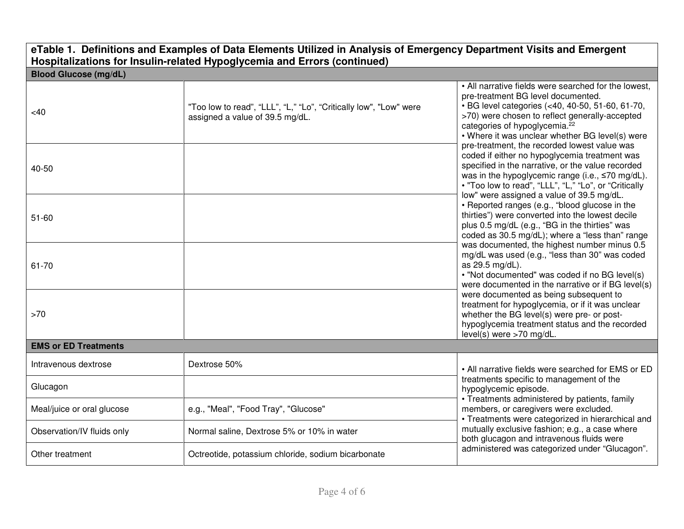|                              | eTable 1. Definitions and Examples of Data Elements Utilized in Analysis of Emergency Department Visits and Emergent<br>Hospitalizations for Insulin-related Hypoglycemia and Errors (continued) |                                                                                                                                                                                                                                                                                                                                                                                                                                                                                                                                                                                                                                                                                                                                                                                                                                                                                                                                                                                |  |  |
|------------------------------|--------------------------------------------------------------------------------------------------------------------------------------------------------------------------------------------------|--------------------------------------------------------------------------------------------------------------------------------------------------------------------------------------------------------------------------------------------------------------------------------------------------------------------------------------------------------------------------------------------------------------------------------------------------------------------------------------------------------------------------------------------------------------------------------------------------------------------------------------------------------------------------------------------------------------------------------------------------------------------------------------------------------------------------------------------------------------------------------------------------------------------------------------------------------------------------------|--|--|
| <b>Blood Glucose (mg/dL)</b> |                                                                                                                                                                                                  |                                                                                                                                                                                                                                                                                                                                                                                                                                                                                                                                                                                                                                                                                                                                                                                                                                                                                                                                                                                |  |  |
| <40                          | "Too low to read", "LLL", "L," "Lo", "Critically low", "Low" were<br>assigned a value of 39.5 mg/dL.                                                                                             | • All narrative fields were searched for the lowest,<br>pre-treatment BG level documented.<br>• BG level categories (<40, 40-50, 51-60, 61-70,<br>>70) were chosen to reflect generally-accepted<br>categories of hypoglycemia. <sup>22</sup><br>• Where it was unclear whether BG level(s) were                                                                                                                                                                                                                                                                                                                                                                                                                                                                                                                                                                                                                                                                               |  |  |
| 40-50                        |                                                                                                                                                                                                  | pre-treatment, the recorded lowest value was<br>coded if either no hypoglycemia treatment was<br>specified in the narrative, or the value recorded<br>was in the hypoglycemic range (i.e., ≤70 mg/dL).<br>. "Too low to read", "LLL", "L," "Lo", or "Critically<br>low" were assigned a value of 39.5 mg/dL.<br>• Reported ranges (e.g., "blood glucose in the<br>thirties") were converted into the lowest decile<br>plus 0.5 mg/dL (e.g., "BG in the thirties" was<br>coded as 30.5 mg/dL); where a "less than" range<br>was documented, the highest number minus 0.5<br>mg/dL was used (e.g., "less than 30" was coded<br>as 29.5 mg/dL).<br>. "Not documented" was coded if no BG level(s)<br>were documented in the narrative or if BG level(s)<br>were documented as being subsequent to<br>treatment for hypoglycemia, or if it was unclear<br>whether the BG level(s) were pre- or post-<br>hypoglycemia treatment status and the recorded<br>level(s) were >70 mg/dL. |  |  |
| $51 - 60$                    |                                                                                                                                                                                                  |                                                                                                                                                                                                                                                                                                                                                                                                                                                                                                                                                                                                                                                                                                                                                                                                                                                                                                                                                                                |  |  |
| 61-70                        |                                                                                                                                                                                                  |                                                                                                                                                                                                                                                                                                                                                                                                                                                                                                                                                                                                                                                                                                                                                                                                                                                                                                                                                                                |  |  |
| $>70$                        |                                                                                                                                                                                                  |                                                                                                                                                                                                                                                                                                                                                                                                                                                                                                                                                                                                                                                                                                                                                                                                                                                                                                                                                                                |  |  |
| <b>EMS or ED Treatments</b>  |                                                                                                                                                                                                  |                                                                                                                                                                                                                                                                                                                                                                                                                                                                                                                                                                                                                                                                                                                                                                                                                                                                                                                                                                                |  |  |
| Intravenous dextrose         | Dextrose 50%                                                                                                                                                                                     | • All narrative fields were searched for EMS or ED                                                                                                                                                                                                                                                                                                                                                                                                                                                                                                                                                                                                                                                                                                                                                                                                                                                                                                                             |  |  |
| Glucagon                     |                                                                                                                                                                                                  | treatments specific to management of the<br>hypoglycemic episode.                                                                                                                                                                                                                                                                                                                                                                                                                                                                                                                                                                                                                                                                                                                                                                                                                                                                                                              |  |  |
| Meal/juice or oral glucose   | e.g., "Meal", "Food Tray", "Glucose"                                                                                                                                                             | • Treatments administered by patients, family<br>members, or caregivers were excluded.<br>• Treatments were categorized in hierarchical and                                                                                                                                                                                                                                                                                                                                                                                                                                                                                                                                                                                                                                                                                                                                                                                                                                    |  |  |
| Observation/IV fluids only   | Normal saline, Dextrose 5% or 10% in water                                                                                                                                                       | mutually exclusive fashion; e.g., a case where<br>both glucagon and intravenous fluids were                                                                                                                                                                                                                                                                                                                                                                                                                                                                                                                                                                                                                                                                                                                                                                                                                                                                                    |  |  |
| Other treatment              | Octreotide, potassium chloride, sodium bicarbonate                                                                                                                                               | administered was categorized under "Glucagon".                                                                                                                                                                                                                                                                                                                                                                                                                                                                                                                                                                                                                                                                                                                                                                                                                                                                                                                                 |  |  |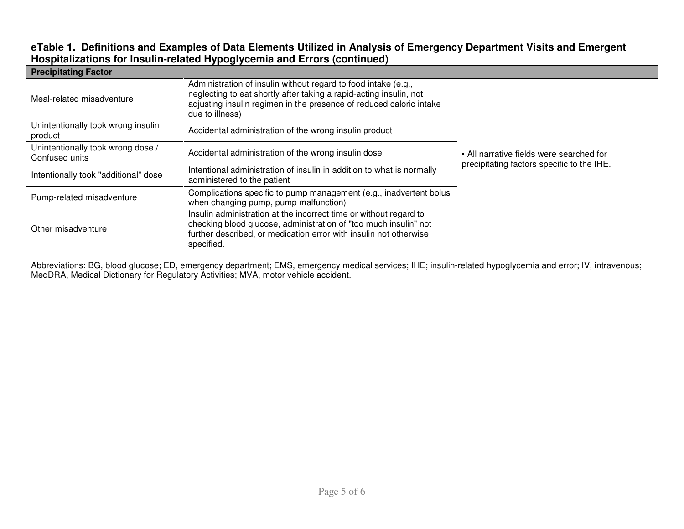## **eTable 1. Definitions and Examples of Data Elements Utilized in Analysis of Emergency Department Visits and EmergentHospitalizations for Insulin-related Hypoglycemia and Errors (continued)**

| <b>Precipitating Factor</b>                         |                                                                                                                                                                                                                                |                                                                                        |  |  |
|-----------------------------------------------------|--------------------------------------------------------------------------------------------------------------------------------------------------------------------------------------------------------------------------------|----------------------------------------------------------------------------------------|--|--|
| Meal-related misadventure                           | Administration of insulin without regard to food intake (e.g.,<br>neglecting to eat shortly after taking a rapid-acting insulin, not<br>adjusting insulin regimen in the presence of reduced caloric intake<br>due to illness) |                                                                                        |  |  |
| Unintentionally took wrong insulin<br>product       | Accidental administration of the wrong insulin product                                                                                                                                                                         |                                                                                        |  |  |
| Unintentionally took wrong dose /<br>Confused units | Accidental administration of the wrong insulin dose                                                                                                                                                                            | • All narrative fields were searched for<br>precipitating factors specific to the IHE. |  |  |
| Intentionally took "additional" dose                | Intentional administration of insulin in addition to what is normally<br>administered to the patient                                                                                                                           |                                                                                        |  |  |
| Pump-related misadventure                           | Complications specific to pump management (e.g., inadvertent bolus<br>when changing pump, pump malfunction)                                                                                                                    |                                                                                        |  |  |
| Other misadventure                                  | Insulin administration at the incorrect time or without regard to<br>checking blood glucose, administration of "too much insulin" not<br>further described, or medication error with insulin not otherwise<br>specified.       |                                                                                        |  |  |

Abbreviations: BG, blood glucose; ED, emergency department; EMS, emergency medical services; IHE; insulin-related hypoglycemia and error; IV, intravenous; MedDRA, Medical Dictionary for Regulatory Activities; MVA, motor vehicle accident.